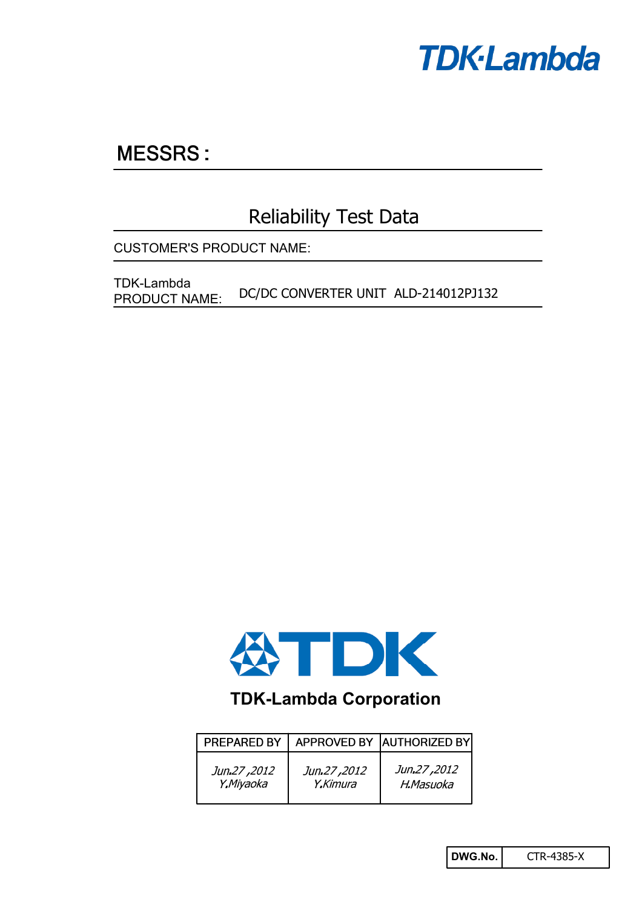

# **MESSRS:**

## Reliability Test Data

CUSTOMER'S PRODUCT NAME:

DC/DC CONVERTER UNIT ALD-214012PJ132 TDK-Lambda PRODUCT NAME:



## **TDK-Lambda Corporation**

| PREPARED BY |             | APPROVED BY AUTHORIZED BY |
|-------------|-------------|---------------------------|
| Jun.27,2012 | Jun.27,2012 | Jun.27,2012               |
| Y.Miyaoka   | Y.Kimura    | H.Masuoka                 |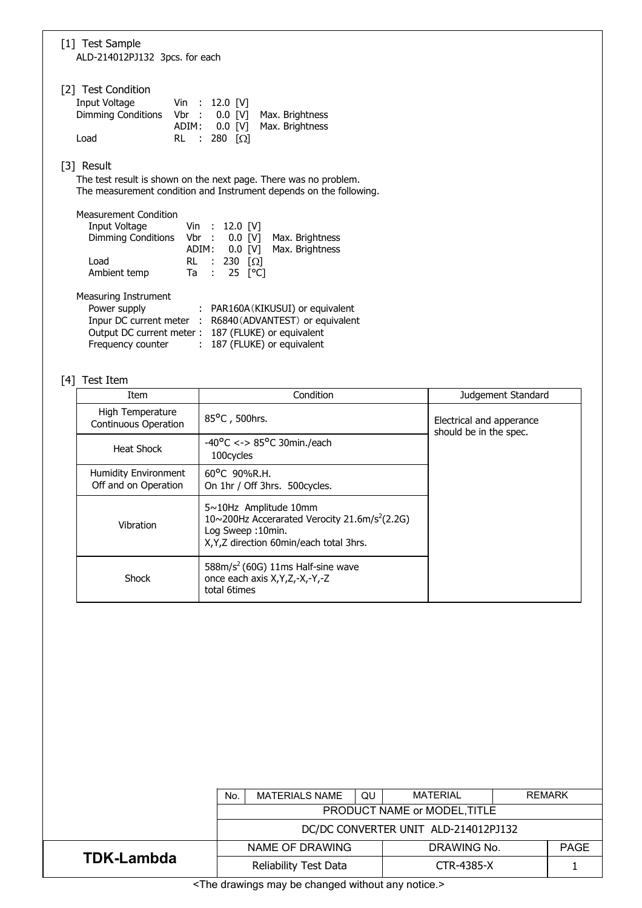| [1] Test Sample<br>ALD-214012PJ132 3pcs. for each                                                                                                                                                                     |
|-----------------------------------------------------------------------------------------------------------------------------------------------------------------------------------------------------------------------|
| [2] Test Condition<br>Input Voltage<br>Vin : 12.0 [V]<br>Dimming Conditions Vbr : 0.0 [V]<br>Max. Brightness<br>Max. Brightness<br>ADIM: 0.0 [V]<br>Load<br>280 $\lceil \Omega \rceil$<br>RL :                        |
| [3] Result<br>The test result is shown on the next page. There was no problem.<br>The measurement condition and Instrument depends on the following.                                                                  |
| <b>Measurement Condition</b><br>Input Voltage Vin : 12.0 [V]<br>Dimming Conditions Vbr : 0.0 [V] Max. Brightness<br>ADIM: 0.0 [V]<br>Max. Brightness<br>Load<br>RL : 230 $[\Omega]$<br>Ta : 25 $[°C]$<br>Ambient temp |
| Measuring Instrument<br>Power supply<br>: PAR160A (KIKUSUI) or equivalent<br>Inpur DC current meter : R6840 (ADVANTEST) or equivalent<br>Output DC current meter: 187 (FLUKE) or equivalent                           |

Frequency counter : 187 (FLUKE) or equivalent

## [4] Test Item

| Item                                                | Condition                                                                                                                                                     | Judgement Standard                                 |
|-----------------------------------------------------|---------------------------------------------------------------------------------------------------------------------------------------------------------------|----------------------------------------------------|
| High Temperature<br><b>Continuous Operation</b>     | 85°C, 500hrs.                                                                                                                                                 | Electrical and apperance<br>should be in the spec. |
| Heat Shock                                          | $-40^{\circ}$ C <-> 85°C 30min./each<br>100cycles                                                                                                             |                                                    |
| <b>Humidity Environment</b><br>Off and on Operation | $60^{\circ}$ C 90%R.H.<br>On 1hr / Off 3hrs. 500 cycles.                                                                                                      |                                                    |
| Vibration                                           | $5 \sim 10$ Hz Amplitude 10mm<br>10~200Hz Accerarated Verocity 21.6m/s <sup>2</sup> (2.2G)<br>Log Sweep: 10min.<br>X, Y, Z direction 60 min/each total 3 hrs. |                                                    |
| Shock                                               | $588m/s2$ (60G) 11ms Half-sine wave<br>once each axis X, Y, Z, -X, -Y, -Z<br>total 6times                                                                     |                                                    |

|                                                                                                                | <b>MATERIAL</b><br><b>REMARK</b><br>QU<br><b>MATERIALS NAME</b><br>No. |  |             |  |      |
|----------------------------------------------------------------------------------------------------------------|------------------------------------------------------------------------|--|-------------|--|------|
|                                                                                                                | PRODUCT NAME or MODEL, TITLE                                           |  |             |  |      |
|                                                                                                                | DC/DC CONVERTER UNIT ALD-214012PJ132                                   |  |             |  |      |
|                                                                                                                | NAME OF DRAWING                                                        |  | DRAWING No. |  | PAGE |
| <b>TDK-Lambda</b>                                                                                              | Reliability Test Data                                                  |  | CTR-4385-X  |  |      |
| is a straightforward control of the second collection and continue to the second second second second second s |                                                                        |  |             |  |      |

<The drawings may be changed without any notice.>